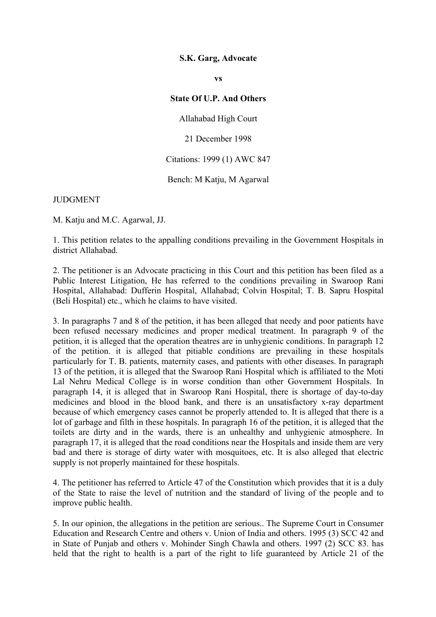## **S.K. Garg, Advocate**

**vs**

## **State Of U.P. And Others**

Allahabad High Court

21 December 1998

## Citations: 1999 (1) AWC 847

Bench: M Katju, M Agarwal

## **JUDGMENT**

M. Katju and M.C. Agarwal, JJ.

1. This petition relates to the appalling conditions prevailing in the Government Hospitals in district Allahabad.

2. The petitioner is an Advocate practicing in this Court and this petition has been filed as a Public Interest Litigation, He has referred to the conditions prevailing in Swaroop Rani Hospital, Allahabad: Dufferin Hospital, Allahabad; Colvin Hospital; T. B. Sapru Hospital (Beli Hospital) etc., which he claims to have visited.

3. In paragraphs 7 and 8 of the petition, it has been alleged that needy and poor patients have been refused necessary medicines and proper medical treatment. In paragraph 9 of the petition, it is alleged that the operation theatres are in unhygienic conditions. In paragraph 12 of the petition. it is alleged that pitiable conditions are prevailing in these hospitals particularly for T. B. patients, maternity cases, and patients with other diseases. In paragraph 13 of the petition, it is alleged that the Swaroop Rani Hospital which is affiliated to the Moti Lal Nehru Medical College is in worse condition than other Government Hospitals. In paragraph 14, it is alleged that in Swaroop Rani Hospital, there is shortage of day-to-day medicines and blood in the blood bank, and there is an unsatisfactory x-ray department because of which emergency cases cannot be properly attended to. It is alleged that there is a lot of garbage and filth in these hospitals. In paragraph 16 of the petition, it is alleged that the toilets are dirty and in the wards, there is an unhealthy and unhygienic atmosphere. In paragraph 17, it is alleged that the road conditions near the Hospitals and inside them are very bad and there is storage of dirty water with mosquitoes, etc. It is also alleged that electric supply is not properly maintained for these hospitals.

4. The petitioner has referred to Article 47 of the Constitution which provides that it is a duly of the State to raise the level of nutrition and the standard of living of the people and to improve public health.

5. In our opinion, the allegations in the petition are serious.. The Supreme Court in Consumer Education and Research Centre and others v. Union of India and others. 1995 (3) SCC 42 and in State of Punjab and others v. Mohinder Singh Chawla and others. 1997 (2) SCC 83. has held that the right to health is a part of the right to life guaranteed by Article 21 of the